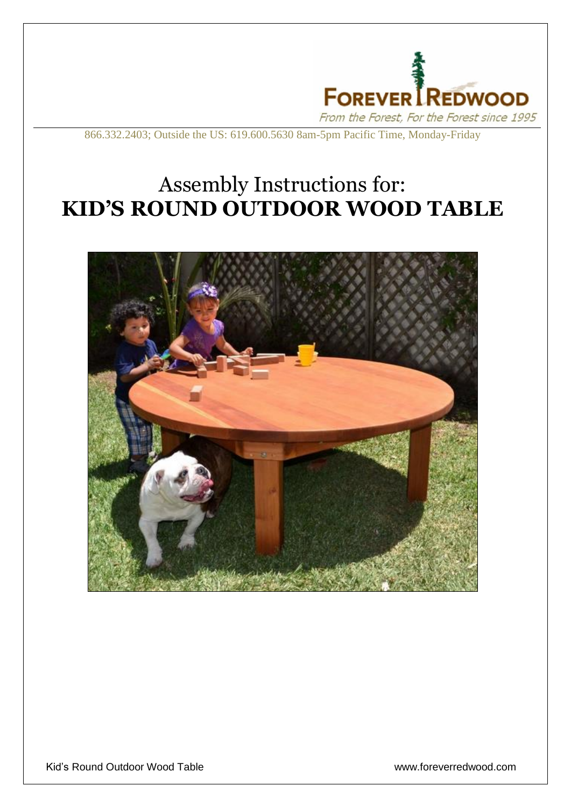

866.332.2403; Outside the US: 619.600.5630 8am-5pm Pacific Time, Monday-Friday

## Assembly Instructions for: **KID'S ROUND OUTDOOR WOOD TABLE**



l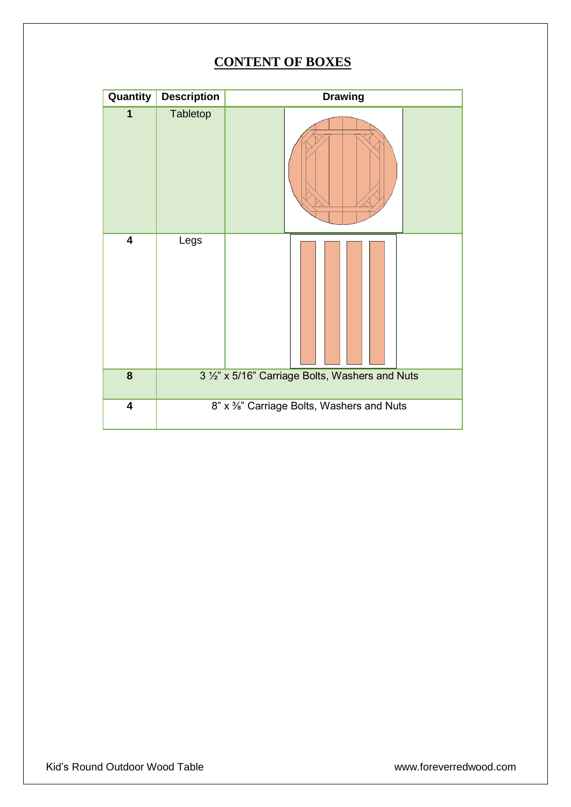## **CONTENT OF BOXES**

| Quantity                | <b>Description</b> | <b>Drawing</b>                                  |
|-------------------------|--------------------|-------------------------------------------------|
| 1                       | Tabletop           |                                                 |
| 4                       | Legs               |                                                 |
| $\overline{\mathbf{8}}$ |                    | 3 1/2" x 5/16" Carriage Bolts, Washers and Nuts |
| 4                       |                    | 8" x %" Carriage Bolts, Washers and Nuts        |